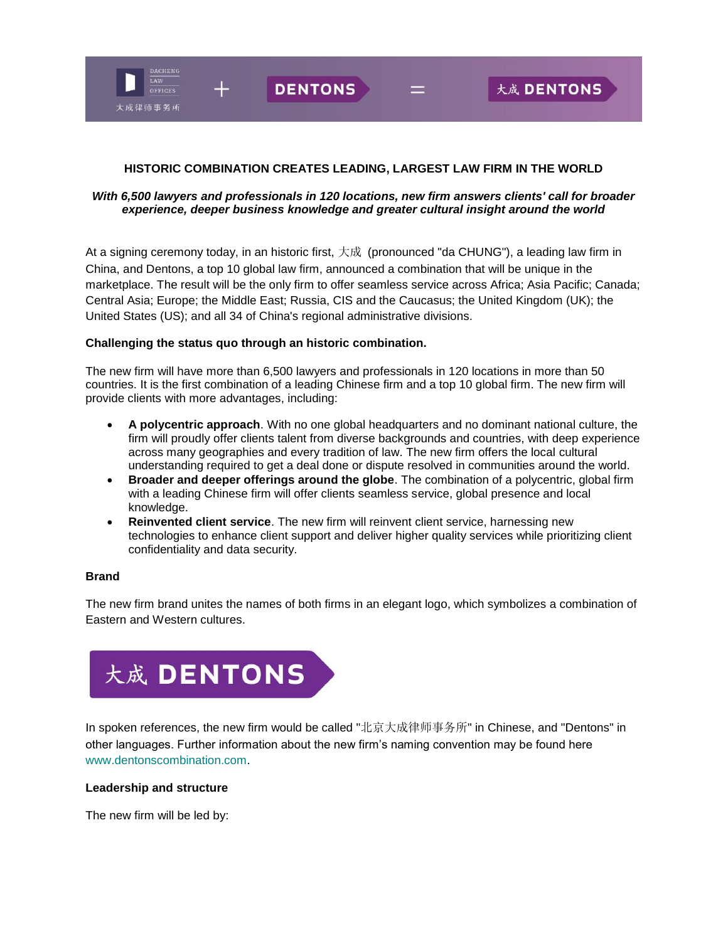

## **HISTORIC COMBINATION CREATES LEADING, LARGEST LAW FIRM IN THE WORLD**

## *With 6,500 lawyers and professionals in 120 locations, new firm answers clients' call for broader experience, deeper business knowledge and greater cultural insight around the world*

At a signing ceremony today, in an historic first, 大成 (pronounced "da CHUNG"), a leading law firm in China, and Dentons, a top 10 global law firm, announced a combination that will be unique in the marketplace. The result will be the only firm to offer seamless service across Africa; Asia Pacific; Canada; Central Asia; Europe; the Middle East; Russia, CIS and the Caucasus; the United Kingdom (UK); the United States (US); and all 34 of China's regional administrative divisions.

### **Challenging the status quo through an historic combination.**

The new firm will have more than 6,500 lawyers and professionals in 120 locations in more than 50 countries. It is the first combination of a leading Chinese firm and a top 10 global firm. The new firm will provide clients with more advantages, including:

- **A polycentric approach**. With no one global headquarters and no dominant national culture, the firm will proudly offer clients talent from diverse backgrounds and countries, with deep experience across many geographies and every tradition of law. The new firm offers the local cultural understanding required to get a deal done or dispute resolved in communities around the world.
- **Broader and deeper offerings around the globe**. The combination of a polycentric, global firm with a leading Chinese firm will offer clients seamless service, global presence and local knowledge.
- **Reinvented client service**. The new firm will reinvent client service, harnessing new technologies to enhance client support and deliver higher quality services while prioritizing client confidentiality and data security.

### **Brand**

The new firm brand unites the names of both firms in an elegant logo, which symbolizes a combination of Eastern and Western cultures.



In spoken references, the new firm would be called "北京大成律师事务所" in Chinese, and "Dentons" in other languages. Further information about the new firm's naming convention may be found here [www.dentonscombination.com.](http://www.dentonscombination.com/)

#### **Leadership and structure**

The new firm will be led by: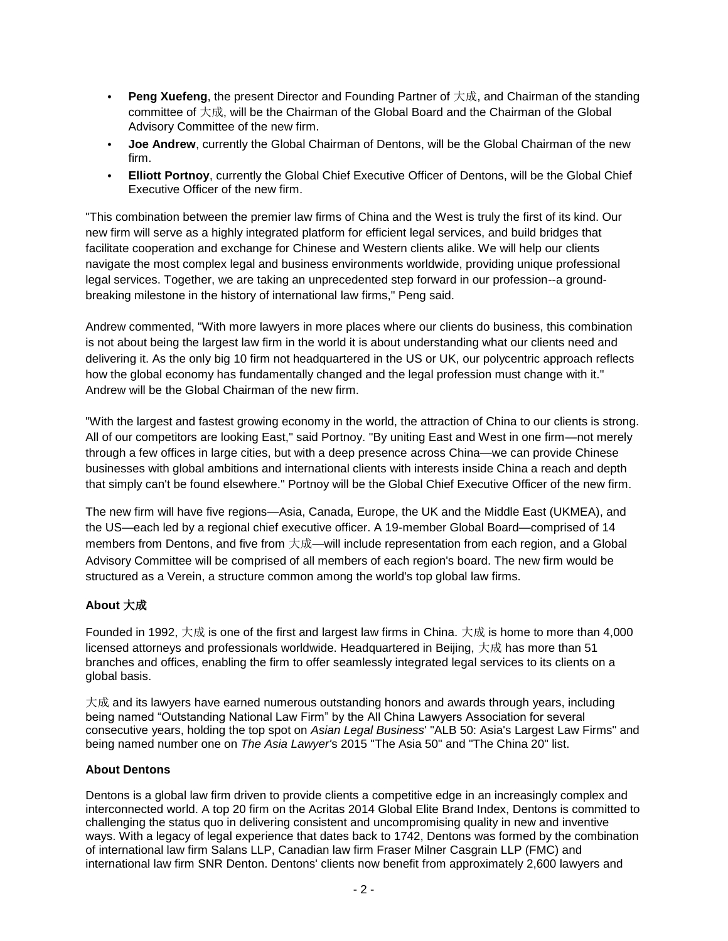- **Peng Xuefeng**, the present Director and Founding Partner of 大成, and Chairman of the standing committee of 大成, will be the Chairman of the Global Board and the Chairman of the Global Advisory Committee of the new firm.
- **Joe Andrew**, currently the Global Chairman of Dentons, will be the Global Chairman of the new firm.
- **Elliott Portnoy**, currently the Global Chief Executive Officer of Dentons, will be the Global Chief Executive Officer of the new firm.

"This combination between the premier law firms of China and the West is truly the first of its kind. Our new firm will serve as a highly integrated platform for efficient legal services, and build bridges that facilitate cooperation and exchange for Chinese and Western clients alike. We will help our clients navigate the most complex legal and business environments worldwide, providing unique professional legal services. Together, we are taking an unprecedented step forward in our profession--a groundbreaking milestone in the history of international law firms," Peng said.

Andrew commented, "With more lawyers in more places where our clients do business, this combination is not about being the largest law firm in the world it is about understanding what our clients need and delivering it. As the only big 10 firm not headquartered in the US or UK, our polycentric approach reflects how the global economy has fundamentally changed and the legal profession must change with it." Andrew will be the Global Chairman of the new firm.

"With the largest and fastest growing economy in the world, the attraction of China to our clients is strong. All of our competitors are looking East," said Portnoy. "By uniting East and West in one firm—not merely through a few offices in large cities, but with a deep presence across China—we can provide Chinese businesses with global ambitions and international clients with interests inside China a reach and depth that simply can't be found elsewhere." Portnoy will be the Global Chief Executive Officer of the new firm.

The new firm will have five regions—Asia, Canada, Europe, the UK and the Middle East (UKMEA), and the US—each led by a regional chief executive officer. A 19-member Global Board—comprised of 14 members from Dentons, and five from 大成—will include representation from each region, and a Global Advisory Committee will be comprised of all members of each region's board. The new firm would be structured as a Verein, a structure common among the world's top global law firms.

# **About** 大成

Founded in 1992, 大成 is one of the first and largest law firms in China. 大成 is home to more than 4,000 licensed attorneys and professionals worldwide. Headquartered in Beijing, 大成 has more than 51 branches and offices, enabling the firm to offer seamlessly integrated legal services to its clients on a global basis.

大成 and its lawyers have earned numerous outstanding honors and awards through years, including being named "Outstanding National Law Firm" by the All China Lawyers Association for several consecutive years, holding the top spot on *Asian Legal Business*' "ALB 50: Asia's Largest Law Firms" and being named number one on *The Asia Lawyer'*s 2015 "The Asia 50" and "The China 20" list.

## **About Dentons**

Dentons is a global law firm driven to provide clients a competitive edge in an increasingly complex and interconnected world. A top 20 firm on the Acritas 2014 Global Elite Brand Index, Dentons is committed to challenging the status quo in delivering consistent and uncompromising quality in new and inventive ways. With a legacy of legal experience that dates back to 1742, Dentons was formed by the combination of international law firm Salans LLP, Canadian law firm Fraser Milner Casgrain LLP (FMC) and international law firm SNR Denton. Dentons' clients now benefit from approximately 2,600 lawyers and